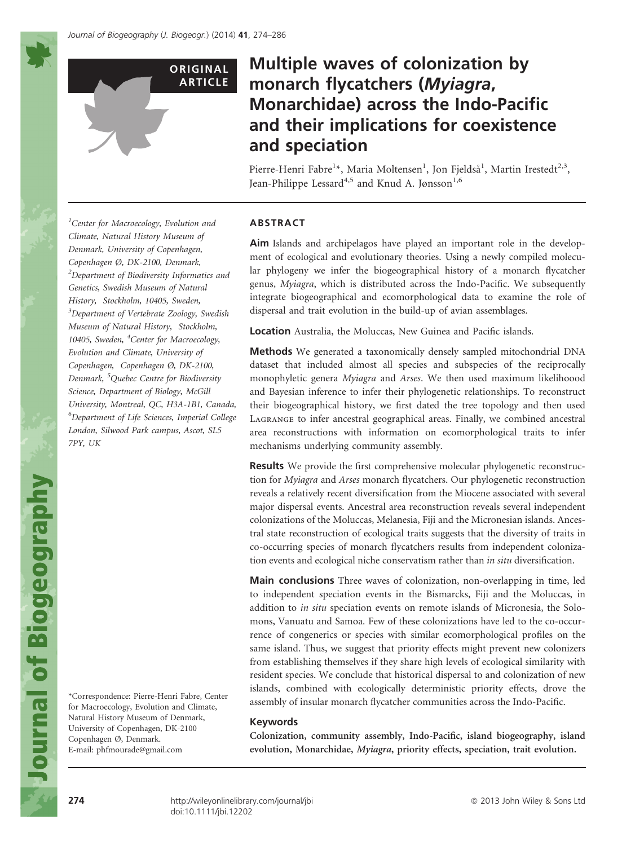

# Multiple waves of colonization by monarch flycatchers (Myiagra, Monarchidae) across the Indo-Pacific and their implications for coexistence and speciation

Pierre-Henri Fabre<sup>1</sup>\*, Maria Moltensen<sup>1</sup>, Jon Fjeldså<sup>1</sup>, Martin Irestedt<sup>2,3</sup>, Jean-Philippe Lessard<sup>4,5</sup> and Knud A. Jønsson<sup>1,6</sup>

<sup>1</sup>Center for Macroecology, Evolution and Climate, Natural History Museum of Denmark, University of Copenhagen, Copenhagen Ø, DK-2100, Denmark,  $^{2}$ Department of Biodiversity Informatics and Genetics, Swedish Museum of Natural History, Stockholm, 10405, Sweden, <sup>3</sup>Department of Vertebrate Zoology, Swedish Museum of Natural History, Stockholm, 10405, Sweden, <sup>4</sup>Center for Macroecology, Evolution and Climate, University of Copenhagen, Copenhagen Ø, DK-2100, Denmark, <sup>5</sup> Quebec Centre for Biodiversity Science, Department of Biology, McGill University, Montreal, QC, H3A-1B1, Canada, 6 Department of Life Sciences, Imperial College London, Silwood Park campus, Ascot, SL5 7PY, UK

\*Correspondence: Pierre-Henri Fabre, Center for Macroecology, Evolution and Climate, Natural History Museum of Denmark, University of Copenhagen, DK-2100 Copenhagen Ø, Denmark. E-mail: phfmourade@gmail.com

## ABSTRACT

Aim Islands and archipelagos have played an important role in the development of ecological and evolutionary theories. Using a newly compiled molecular phylogeny we infer the biogeographical history of a monarch flycatcher genus, Myiagra, which is distributed across the Indo-Pacific. We subsequently integrate biogeographical and ecomorphological data to examine the role of dispersal and trait evolution in the build-up of avian assemblages.

Location Australia, the Moluccas, New Guinea and Pacific islands.

Methods We generated a taxonomically densely sampled mitochondrial DNA dataset that included almost all species and subspecies of the reciprocally monophyletic genera Myiagra and Arses. We then used maximum likelihoood and Bayesian inference to infer their phylogenetic relationships. To reconstruct their biogeographical history, we first dated the tree topology and then used Lagrange to infer ancestral geographical areas. Finally, we combined ancestral area reconstructions with information on ecomorphological traits to infer mechanisms underlying community assembly.

Results We provide the first comprehensive molecular phylogenetic reconstruction for Myiagra and Arses monarch flycatchers. Our phylogenetic reconstruction reveals a relatively recent diversification from the Miocene associated with several major dispersal events. Ancestral area reconstruction reveals several independent colonizations of the Moluccas, Melanesia, Fiji and the Micronesian islands. Ancestral state reconstruction of ecological traits suggests that the diversity of traits in co-occurring species of monarch flycatchers results from independent colonization events and ecological niche conservatism rather than in situ diversification.

Main conclusions Three waves of colonization, non-overlapping in time, led to independent speciation events in the Bismarcks, Fiji and the Moluccas, in addition to in situ speciation events on remote islands of Micronesia, the Solomons, Vanuatu and Samoa. Few of these colonizations have led to the co-occurrence of congenerics or species with similar ecomorphological profiles on the same island. Thus, we suggest that priority effects might prevent new colonizers from establishing themselves if they share high levels of ecological similarity with resident species. We conclude that historical dispersal to and colonization of new islands, combined with ecologically deterministic priority effects, drove the assembly of insular monarch flycatcher communities across the Indo-Pacific.

## Keywords

Colonization, community assembly, Indo-Pacific, island biogeography, island evolution, Monarchidae, Myiagra, priority effects, speciation, trait evolution.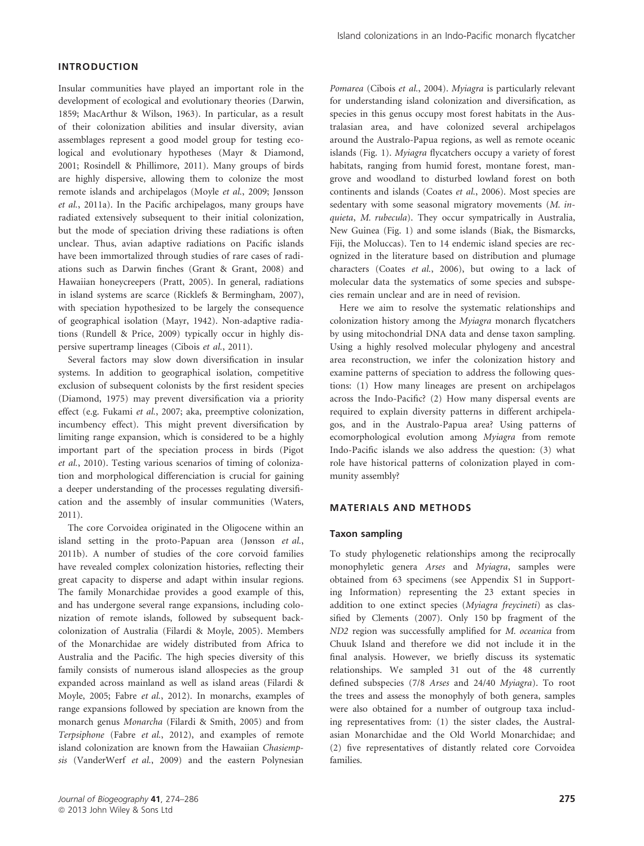# INTRODUCTION

Insular communities have played an important role in the development of ecological and evolutionary theories (Darwin, 1859; MacArthur & Wilson, 1963). In particular, as a result of their colonization abilities and insular diversity, avian assemblages represent a good model group for testing ecological and evolutionary hypotheses (Mayr & Diamond, 2001; Rosindell & Phillimore, 2011). Many groups of birds are highly dispersive, allowing them to colonize the most remote islands and archipelagos (Moyle et al., 2009; Jønsson et al., 2011a). In the Pacific archipelagos, many groups have radiated extensively subsequent to their initial colonization, but the mode of speciation driving these radiations is often unclear. Thus, avian adaptive radiations on Pacific islands have been immortalized through studies of rare cases of radiations such as Darwin finches (Grant & Grant, 2008) and Hawaiian honeycreepers (Pratt, 2005). In general, radiations in island systems are scarce (Ricklefs & Bermingham, 2007), with speciation hypothesized to be largely the consequence of geographical isolation (Mayr, 1942). Non-adaptive radiations (Rundell & Price, 2009) typically occur in highly dispersive supertramp lineages (Cibois et al., 2011).

Several factors may slow down diversification in insular systems. In addition to geographical isolation, competitive exclusion of subsequent colonists by the first resident species (Diamond, 1975) may prevent diversification via a priority effect (e.g. Fukami et al., 2007; aka, preemptive colonization, incumbency effect). This might prevent diversification by limiting range expansion, which is considered to be a highly important part of the speciation process in birds (Pigot et al., 2010). Testing various scenarios of timing of colonization and morphological differenciation is crucial for gaining a deeper understanding of the processes regulating diversification and the assembly of insular communities (Waters, 2011).

The core Corvoidea originated in the Oligocene within an island setting in the proto-Papuan area (Jønsson et al., 2011b). A number of studies of the core corvoid families have revealed complex colonization histories, reflecting their great capacity to disperse and adapt within insular regions. The family Monarchidae provides a good example of this, and has undergone several range expansions, including colonization of remote islands, followed by subsequent backcolonization of Australia (Filardi & Moyle, 2005). Members of the Monarchidae are widely distributed from Africa to Australia and the Pacific. The high species diversity of this family consists of numerous island allospecies as the group expanded across mainland as well as island areas (Filardi & Moyle, 2005; Fabre et al., 2012). In monarchs, examples of range expansions followed by speciation are known from the monarch genus Monarcha (Filardi & Smith, 2005) and from Terpsiphone (Fabre et al., 2012), and examples of remote island colonization are known from the Hawaiian Chasiempsis (VanderWerf et al., 2009) and the eastern Polynesian Pomarea (Cibois et al., 2004). Myiagra is particularly relevant for understanding island colonization and diversification, as species in this genus occupy most forest habitats in the Australasian area, and have colonized several archipelagos around the Australo-Papua regions, as well as remote oceanic islands (Fig. 1). Myiagra flycatchers occupy a variety of forest habitats, ranging from humid forest, montane forest, mangrove and woodland to disturbed lowland forest on both continents and islands (Coates et al., 2006). Most species are sedentary with some seasonal migratory movements (M. inquieta, M. rubecula). They occur sympatrically in Australia, New Guinea (Fig. 1) and some islands (Biak, the Bismarcks, Fiji, the Moluccas). Ten to 14 endemic island species are recognized in the literature based on distribution and plumage characters (Coates et al., 2006), but owing to a lack of molecular data the systematics of some species and subspecies remain unclear and are in need of revision.

Here we aim to resolve the systematic relationships and colonization history among the Myiagra monarch flycatchers by using mitochondrial DNA data and dense taxon sampling. Using a highly resolved molecular phylogeny and ancestral area reconstruction, we infer the colonization history and examine patterns of speciation to address the following questions: (1) How many lineages are present on archipelagos across the Indo-Pacific? (2) How many dispersal events are required to explain diversity patterns in different archipelagos, and in the Australo-Papua area? Using patterns of ecomorphological evolution among Myiagra from remote Indo-Pacific islands we also address the question: (3) what role have historical patterns of colonization played in community assembly?

## MATERIALS AND METHODS

## Taxon sampling

To study phylogenetic relationships among the reciprocally monophyletic genera Arses and Myiagra, samples were obtained from 63 specimens (see Appendix S1 in Supporting Information) representing the 23 extant species in addition to one extinct species (Myiagra freycineti) as classified by Clements (2007). Only 150 bp fragment of the ND2 region was successfully amplified for M. oceanica from Chuuk Island and therefore we did not include it in the final analysis. However, we briefly discuss its systematic relationships. We sampled 31 out of the 48 currently defined subspecies (7/8 Arses and 24/40 Myiagra). To root the trees and assess the monophyly of both genera, samples were also obtained for a number of outgroup taxa including representatives from: (1) the sister clades, the Australasian Monarchidae and the Old World Monarchidae; and (2) five representatives of distantly related core Corvoidea families.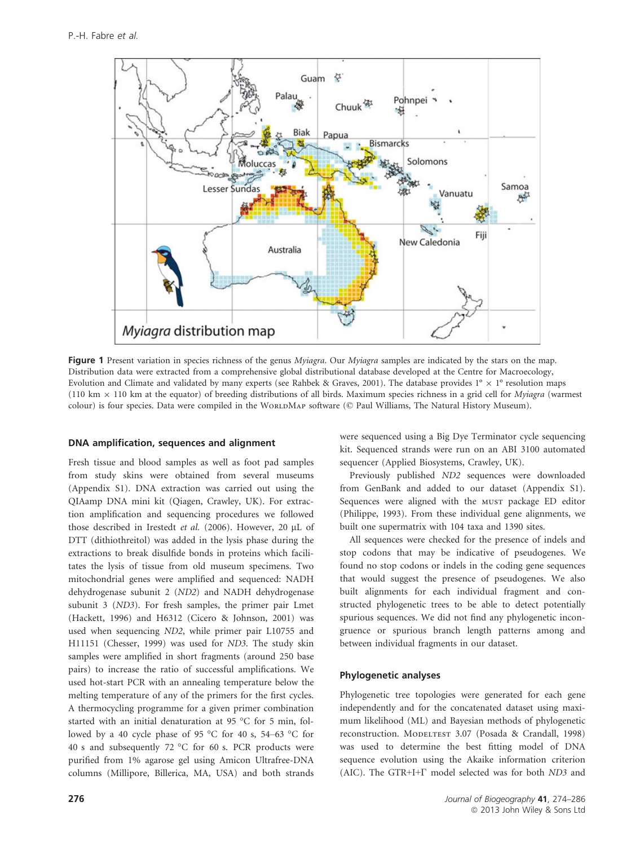

Figure 1 Present variation in species richness of the genus Myiagra. Our Myiagra samples are indicated by the stars on the map. Distribution data were extracted from a comprehensive global distributional database developed at the Centre for Macroecology, Evolution and Climate and validated by many experts (see Rahbek & Graves, 2001). The database provides  $1^\circ \times 1^\circ$  resolution maps (110 km  $\times$  110 km at the equator) of breeding distributions of all birds. Maximum species richness in a grid cell for *Myiagra* (warmest colour) is four species. Data were compiled in the WORLDMAP software (© Paul Williams, The Natural History Museum).

#### DNA amplification, sequences and alignment

Fresh tissue and blood samples as well as foot pad samples from study skins were obtained from several museums (Appendix S1). DNA extraction was carried out using the QIAamp DNA mini kit (Qiagen, Crawley, UK). For extraction amplification and sequencing procedures we followed those described in Irestedt et al. (2006). However, 20 µL of DTT (dithiothreitol) was added in the lysis phase during the extractions to break disulfide bonds in proteins which facilitates the lysis of tissue from old museum specimens. Two mitochondrial genes were amplified and sequenced: NADH dehydrogenase subunit 2 (ND2) and NADH dehydrogenase subunit 3 (ND3). For fresh samples, the primer pair Lmet (Hackett, 1996) and H6312 (Cicero & Johnson, 2001) was used when sequencing ND2, while primer pair L10755 and H11151 (Chesser, 1999) was used for ND3. The study skin samples were amplified in short fragments (around 250 base pairs) to increase the ratio of successful amplifications. We used hot-start PCR with an annealing temperature below the melting temperature of any of the primers for the first cycles. A thermocycling programme for a given primer combination started with an initial denaturation at 95 °C for 5 min, followed by a 40 cycle phase of 95 °C for 40 s, 54–63 °C for 40 s and subsequently 72 °C for 60 s. PCR products were purified from 1% agarose gel using Amicon Ultrafree-DNA columns (Millipore, Billerica, MA, USA) and both strands were sequenced using a Big Dye Terminator cycle sequencing kit. Sequenced strands were run on an ABI 3100 automated sequencer (Applied Biosystems, Crawley, UK).

Previously published ND2 sequences were downloaded from GenBank and added to our dataset (Appendix S1). Sequences were aligned with the MUST package ED editor (Philippe, 1993). From these individual gene alignments, we built one supermatrix with 104 taxa and 1390 sites.

All sequences were checked for the presence of indels and stop codons that may be indicative of pseudogenes. We found no stop codons or indels in the coding gene sequences that would suggest the presence of pseudogenes. We also built alignments for each individual fragment and constructed phylogenetic trees to be able to detect potentially spurious sequences. We did not find any phylogenetic incongruence or spurious branch length patterns among and between individual fragments in our dataset.

# Phylogenetic analyses

Phylogenetic tree topologies were generated for each gene independently and for the concatenated dataset using maximum likelihood (ML) and Bayesian methods of phylogenetic reconstruction. MODELTEST 3.07 (Posada & Crandall, 1998) was used to determine the best fitting model of DNA sequence evolution using the Akaike information criterion (AIC). The GTR+I+Γ model selected was for both ND3 and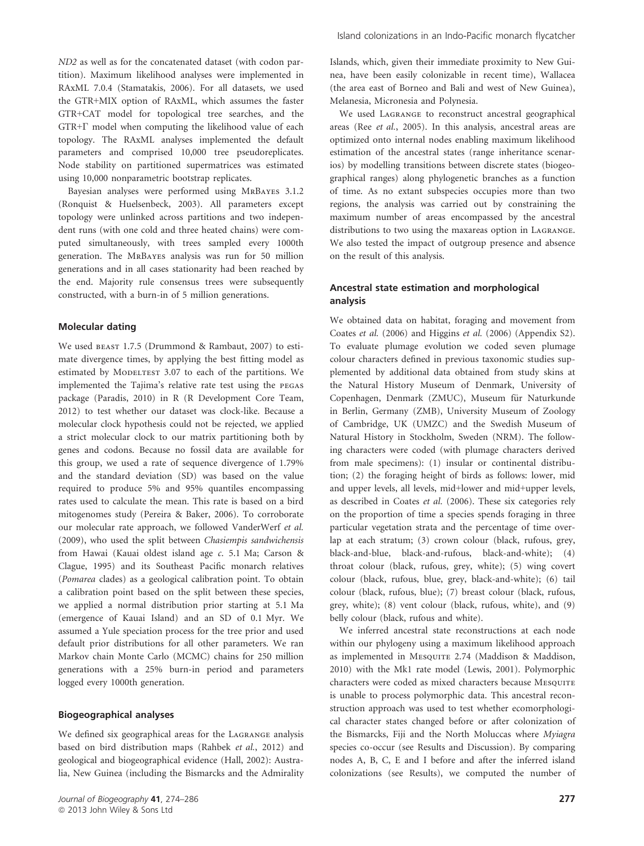ND2 as well as for the concatenated dataset (with codon partition). Maximum likelihood analyses were implemented in RAxML 7.0.4 (Stamatakis, 2006). For all datasets, we used the GTR+MIX option of RAxML, which assumes the faster GTR+CAT model for topological tree searches, and the GTR+Γ model when computing the likelihood value of each topology. The RAxML analyses implemented the default parameters and comprised 10,000 tree pseudoreplicates. Node stability on partitioned supermatrices was estimated using 10,000 nonparametric bootstrap replicates.

Bayesian analyses were performed using MrBayes 3.1.2 (Ronquist & Huelsenbeck, 2003). All parameters except topology were unlinked across partitions and two independent runs (with one cold and three heated chains) were computed simultaneously, with trees sampled every 1000th generation. The MrBayes analysis was run for 50 million generations and in all cases stationarity had been reached by the end. Majority rule consensus trees were subsequently constructed, with a burn-in of 5 million generations.

#### Molecular dating

We used beast 1.7.5 (Drummond & Rambaut, 2007) to estimate divergence times, by applying the best fitting model as estimated by MODELTEST 3.07 to each of the partitions. We implemented the Tajima's relative rate test using the pegas package (Paradis, 2010) in R (R Development Core Team, 2012) to test whether our dataset was clock-like. Because a molecular clock hypothesis could not be rejected, we applied a strict molecular clock to our matrix partitioning both by genes and codons. Because no fossil data are available for this group, we used a rate of sequence divergence of 1.79% and the standard deviation (SD) was based on the value required to produce 5% and 95% quantiles encompassing rates used to calculate the mean. This rate is based on a bird mitogenomes study (Pereira & Baker, 2006). To corroborate our molecular rate approach, we followed VanderWerf et al. (2009), who used the split between Chasiempis sandwichensis from Hawai (Kauai oldest island age c. 5.1 Ma; Carson & Clague, 1995) and its Southeast Pacific monarch relatives (Pomarea clades) as a geological calibration point. To obtain a calibration point based on the split between these species, we applied a normal distribution prior starting at 5.1 Ma (emergence of Kauai Island) and an SD of 0.1 Myr. We assumed a Yule speciation process for the tree prior and used default prior distributions for all other parameters. We ran Markov chain Monte Carlo (MCMC) chains for 250 million generations with a 25% burn-in period and parameters logged every 1000th generation.

#### Biogeographical analyses

We defined six geographical areas for the Lagrange analysis based on bird distribution maps (Rahbek et al., 2012) and geological and biogeographical evidence (Hall, 2002): Australia, New Guinea (including the Bismarcks and the Admirality Islands, which, given their immediate proximity to New Guinea, have been easily colonizable in recent time), Wallacea (the area east of Borneo and Bali and west of New Guinea), Melanesia, Micronesia and Polynesia.

We used Lagrange to reconstruct ancestral geographical areas (Ree et al., 2005). In this analysis, ancestral areas are optimized onto internal nodes enabling maximum likelihood estimation of the ancestral states (range inheritance scenarios) by modelling transitions between discrete states (biogeographical ranges) along phylogenetic branches as a function of time. As no extant subspecies occupies more than two regions, the analysis was carried out by constraining the maximum number of areas encompassed by the ancestral distributions to two using the maxareas option in Lagrange. We also tested the impact of outgroup presence and absence on the result of this analysis.

## Ancestral state estimation and morphological analysis

We obtained data on habitat, foraging and movement from Coates et al. (2006) and Higgins et al. (2006) (Appendix S2). To evaluate plumage evolution we coded seven plumage colour characters defined in previous taxonomic studies supplemented by additional data obtained from study skins at the Natural History Museum of Denmark, University of Copenhagen, Denmark (ZMUC), Museum für Naturkunde in Berlin, Germany (ZMB), University Museum of Zoology of Cambridge, UK (UMZC) and the Swedish Museum of Natural History in Stockholm, Sweden (NRM). The following characters were coded (with plumage characters derived from male specimens): (1) insular or continental distribution; (2) the foraging height of birds as follows: lower, mid and upper levels, all levels, mid+lower and mid+upper levels, as described in Coates et al. (2006). These six categories rely on the proportion of time a species spends foraging in three particular vegetation strata and the percentage of time overlap at each stratum; (3) crown colour (black, rufous, grey, black-and-blue, black-and-rufous, black-and-white); (4) throat colour (black, rufous, grey, white); (5) wing covert colour (black, rufous, blue, grey, black-and-white); (6) tail colour (black, rufous, blue); (7) breast colour (black, rufous, grey, white); (8) vent colour (black, rufous, white), and (9) belly colour (black, rufous and white).

We inferred ancestral state reconstructions at each node within our phylogeny using a maximum likelihood approach as implemented in Mesquite 2.74 (Maddison & Maddison, 2010) with the Mk1 rate model (Lewis, 2001). Polymorphic characters were coded as mixed characters because Mesquite is unable to process polymorphic data. This ancestral reconstruction approach was used to test whether ecomorphological character states changed before or after colonization of the Bismarcks, Fiji and the North Moluccas where Myiagra species co-occur (see Results and Discussion). By comparing nodes A, B, C, E and I before and after the inferred island colonizations (see Results), we computed the number of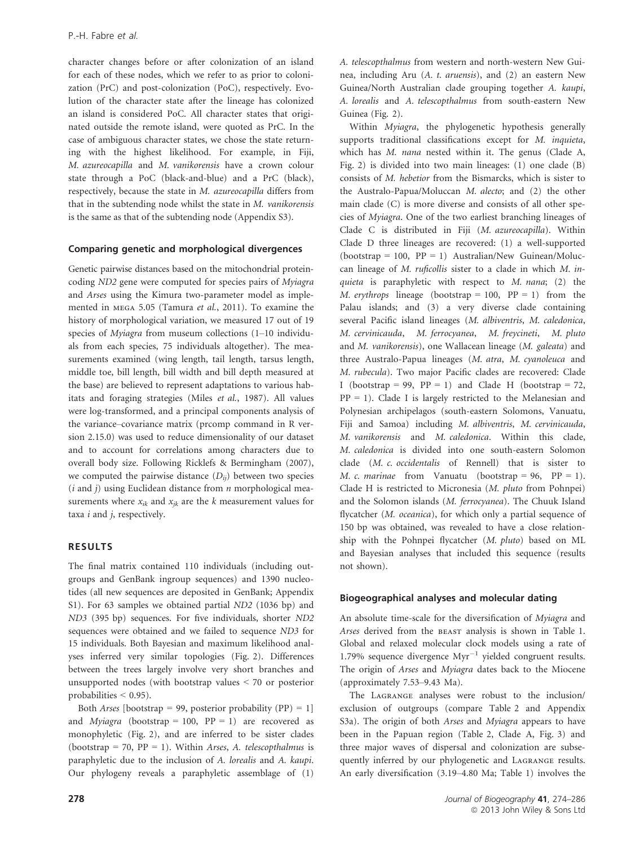character changes before or after colonization of an island for each of these nodes, which we refer to as prior to colonization (PrC) and post-colonization (PoC), respectively. Evolution of the character state after the lineage has colonized an island is considered PoC. All character states that originated outside the remote island, were quoted as PrC. In the case of ambiguous character states, we chose the state returning with the highest likelihood. For example, in Fiji, M. azureocapilla and M. vanikorensis have a crown colour state through a PoC (black-and-blue) and a PrC (black), respectively, because the state in M. azureocapilla differs from that in the subtending node whilst the state in M. vanikorensis is the same as that of the subtending node (Appendix S3).

#### Comparing genetic and morphological divergences

Genetic pairwise distances based on the mitochondrial proteincoding ND2 gene were computed for species pairs of Myiagra and Arses using the Kimura two-parameter model as implemented in mega 5.05 (Tamura et al., 2011). To examine the history of morphological variation, we measured 17 out of 19 species of Myiagra from museum collections (1-10 individuals from each species, 75 individuals altogether). The measurements examined (wing length, tail length, tarsus length, middle toe, bill length, bill width and bill depth measured at the base) are believed to represent adaptations to various habitats and foraging strategies (Miles et al., 1987). All values were log-transformed, and a principal components analysis of the variance–covariance matrix (prcomp command in R version 2.15.0) was used to reduce dimensionality of our dataset and to account for correlations among characters due to overall body size. Following Ricklefs & Bermingham (2007), we computed the pairwise distance  $(D_{ii})$  between two species  $(i$  and  $j)$  using Euclidean distance from  $n$  morphological measurements where  $x_{ik}$  and  $x_{ik}$  are the k measurement values for taxa  $i$  and  $j$ , respectively.

#### RESULTS

The final matrix contained 110 individuals (including outgroups and GenBank ingroup sequences) and 1390 nucleotides (all new sequences are deposited in GenBank; Appendix S1). For 63 samples we obtained partial ND2 (1036 bp) and ND3 (395 bp) sequences. For five individuals, shorter ND2 sequences were obtained and we failed to sequence ND3 for 15 individuals. Both Bayesian and maximum likelihood analyses inferred very similar topologies (Fig. 2). Differences between the trees largely involve very short branches and unsupported nodes (with bootstrap values < 70 or posterior probabilities < 0.95).

Both *Arses* [bootstrap = 99, posterior probability  $(PP) = 1$ ] and Myiagra (bootstrap = 100,  $PP = 1$ ) are recovered as monophyletic (Fig. 2), and are inferred to be sister clades (bootstrap = 70,  $PP = 1$ ). Within Arses, A. telescopthalmus is paraphyletic due to the inclusion of A. lorealis and A. kaupi. Our phylogeny reveals a paraphyletic assemblage of (1) A. telescopthalmus from western and north-western New Guinea, including Aru (A. t. aruensis), and (2) an eastern New Guinea/North Australian clade grouping together A. kaupi, A. lorealis and A. telescopthalmus from south-eastern New Guinea (Fig. 2).

Within Myiagra, the phylogenetic hypothesis generally supports traditional classifications except for M. inquieta, which has M. nana nested within it. The genus (Clade A, Fig. 2) is divided into two main lineages: (1) one clade (B) consists of M. hebetior from the Bismarcks, which is sister to the Australo-Papua/Moluccan M. alecto; and (2) the other main clade (C) is more diverse and consists of all other species of Myiagra. One of the two earliest branching lineages of Clade C is distributed in Fiji (M. azureocapilla). Within Clade D three lineages are recovered: (1) a well-supported  $(bootstrap = 100, PP = 1)$  Australian/New Guinean/Moluccan lineage of M. ruficollis sister to a clade in which M. inquieta is paraphyletic with respect to  $M$ . nana; (2) the M. erythrops lineage (bootstrap = 100,  $PP = 1$ ) from the Palau islands; and (3) a very diverse clade containing several Pacific island lineages (M. albiventris, M. caledonica, M. cervinicauda, M. ferrocyanea, M. freycineti, M. pluto and M. vanikorensis), one Wallacean lineage (M. galeata) and three Australo-Papua lineages (M. atra, M. cyanoleuca and M. rubecula). Two major Pacific clades are recovered: Clade I (bootstrap = 99,  $PP = 1$ ) and Clade H (bootstrap = 72,  $PP = 1$ ). Clade I is largely restricted to the Melanesian and Polynesian archipelagos (south-eastern Solomons, Vanuatu, Fiji and Samoa) including M. albiventris, M. cervinicauda, M. vanikorensis and M. caledonica. Within this clade, M. caledonica is divided into one south-eastern Solomon clade (M. c. occidentalis of Rennell) that is sister to M. c. marinae from Vanuatu (bootstrap = 96, PP = 1). Clade H is restricted to Micronesia (M. pluto from Pohnpei) and the Solomon islands (M. ferrocyanea). The Chuuk Island flycatcher (M. oceanica), for which only a partial sequence of 150 bp was obtained, was revealed to have a close relationship with the Pohnpei flycatcher (M. pluto) based on ML and Bayesian analyses that included this sequence (results not shown).

#### Biogeographical analyses and molecular dating

An absolute time-scale for the diversification of Myiagra and Arses derived from the BEAST analysis is shown in Table 1. Global and relaxed molecular clock models using a rate of 1.79% sequence divergence  $Myr^{-1}$  yielded congruent results. The origin of Arses and Myiagra dates back to the Miocene (approximately 7.53–9.43 Ma).

The Lagrange analyses were robust to the inclusion/ exclusion of outgroups (compare Table 2 and Appendix S3a). The origin of both Arses and Myiagra appears to have been in the Papuan region (Table 2, Clade A, Fig. 3) and three major waves of dispersal and colonization are subsequently inferred by our phylogenetic and Lagrange results. An early diversification (3.19–4.80 Ma; Table 1) involves the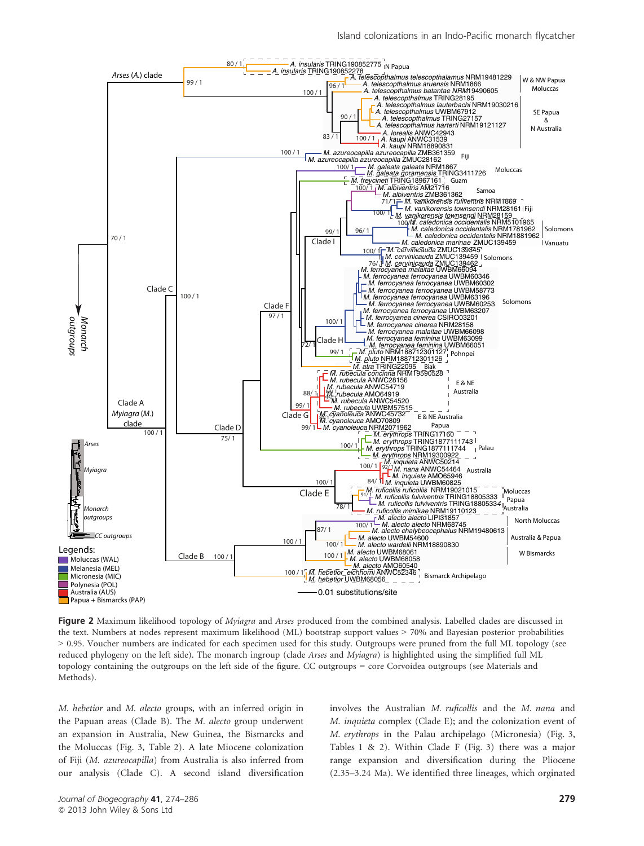

Figure 2 Maximum likelihood topology of Myiagra and Arses produced from the combined analysis. Labelled clades are discussed in the text. Numbers at nodes represent maximum likelihood (ML) bootstrap support values > 70% and Bayesian posterior probabilities > 0.95. Voucher numbers are indicated for each specimen used for this study. Outgroups were pruned from the full ML topology (see reduced phylogeny on the left side). The monarch ingroup (clade Arses and Myiagra) is highlighted using the simplified full ML topology containing the outgroups on the left side of the figure. CC outgroups = core Corvoidea outgroups (see Materials and Methods).

M. hebetior and M. alecto groups, with an inferred origin in the Papuan areas (Clade B). The M. alecto group underwent an expansion in Australia, New Guinea, the Bismarcks and the Moluccas (Fig. 3, Table 2). A late Miocene colonization of Fiji (M. azureocapilla) from Australia is also inferred from our analysis (Clade C). A second island diversification

involves the Australian M. ruficollis and the M. nana and M. inquieta complex (Clade E); and the colonization event of M. erythrops in the Palau archipelago (Micronesia) (Fig. 3, Tables 1 & 2). Within Clade F (Fig. 3) there was a major range expansion and diversification during the Pliocene (2.35–3.24 Ma). We identified three lineages, which orginated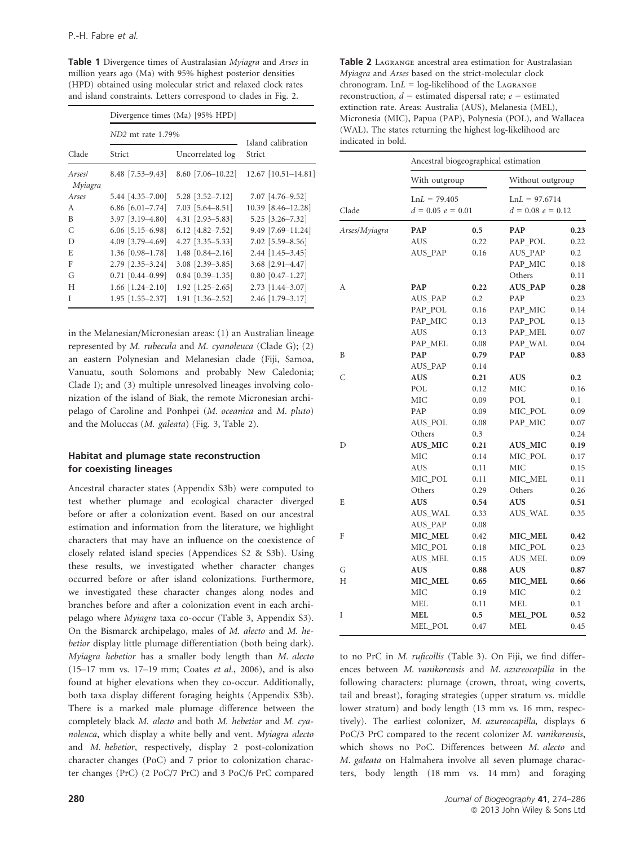Table 1 Divergence times of Australasian Myiagra and Arses in million years ago (Ma) with 95% highest posterior densities (HPD) obtained using molecular strict and relaxed clock rates and island constraints. Letters correspond to clades in Fig. 2.

|                   | Divergence times (Ma) [95% HPD] |                        |                     |  |  |  |
|-------------------|---------------------------------|------------------------|---------------------|--|--|--|
|                   | ND <sub>2</sub> mt rate 1.79%   | Island calibration     |                     |  |  |  |
| Clade             | Strict                          | Uncorrelated log       | Strict              |  |  |  |
| Arsesl<br>Myiagra | $8.48$ [7.53-9.43]              | $8.60$ [7.06-10.22]    | 12.67 [10.51-14.81] |  |  |  |
| Arses             | $5.44$ [4.35-7.00]              | $5.28$ [3.52-7.12]     | 7.07 [4.76-9.52]    |  |  |  |
| A                 | 6.86 $[6.01 - 7.74]$            | $7.03$ [5.64–8.51]     | 10.39 [8.46-12.28]  |  |  |  |
| B                 | 3.97 [3.19-4.80]                | 4.31 [2.93-5.83]       | 5.25 [3.26-7.32]    |  |  |  |
| C                 | $6.06$ [5.15-6.98]              | 6.12 $[4.82 - 7.52]$   | 9.49 [7.69-11.24]   |  |  |  |
| D                 | 4.09 [3.79-4.69]                | $4.27$ [3.35-5.33]     | 7.02 [5.59-8.56]    |  |  |  |
| E                 | $1.36$ [0.98-1.78]              | $1.48$ [0.84-2.16]     | $2.44$ [1.45-3.45]  |  |  |  |
| F                 | $2.79$ [ $2.35 - 3.24$ ]        | $3.08$ [2.39-3.85]     | $3.68$ [2.91-4.47]  |  |  |  |
| G                 | $0.71$ [0.44-0.99]              | $0.84$ [0.39-1.35]     | $0.80$ [0.47-1.27]  |  |  |  |
| H                 | $1.66$ [1.24-2.10]              | $1.92$ [1.25-2.65]     | $2.73$ [1.44-3.07]  |  |  |  |
| T                 | $1.95$ [1.55-2.37]              | $1.91$ $[1.36 - 2.52]$ | 2.46 [1.79-3.17]    |  |  |  |

in the Melanesian/Micronesian areas: (1) an Australian lineage represented by M. rubecula and M. cyanoleuca (Clade G); (2) an eastern Polynesian and Melanesian clade (Fiji, Samoa, Vanuatu, south Solomons and probably New Caledonia; Clade I); and (3) multiple unresolved lineages involving colonization of the island of Biak, the remote Micronesian archipelago of Caroline and Ponhpei (M. oceanica and M. pluto) and the Moluccas (M. galeata) (Fig. 3, Table 2).

## Habitat and plumage state reconstruction for coexisting lineages

Ancestral character states (Appendix S3b) were computed to test whether plumage and ecological character diverged before or after a colonization event. Based on our ancestral estimation and information from the literature, we highlight characters that may have an influence on the coexistence of closely related island species (Appendices S2 & S3b). Using these results, we investigated whether character changes occurred before or after island colonizations. Furthermore, we investigated these character changes along nodes and branches before and after a colonization event in each archipelago where Myiagra taxa co-occur (Table 3, Appendix S3). On the Bismarck archipelago, males of M. alecto and M. hebetior display little plumage differentiation (both being dark). Myiagra hebetior has a smaller body length than M. alecto (15–17 mm vs. 17–19 mm; Coates et al., 2006), and is also found at higher elevations when they co-occur. Additionally, both taxa display different foraging heights (Appendix S3b). There is a marked male plumage difference between the completely black M. alecto and both M. hebetior and M. cyanoleuca, which display a white belly and vent. Myiagra alecto and M. hebetior, respectively, display 2 post-colonization character changes (PoC) and 7 prior to colonization character changes (PrC) (2 PoC/7 PrC) and 3 PoC/6 PrC compared

| <b>Table 2</b> LAGRANGE ancestral area estimation for Australasian |
|--------------------------------------------------------------------|
| Myiagra and Arses based on the strict-molecular clock              |
| chronogram. $LnL = log-likelihood$ of the LAGRANGE                 |
| reconstruction, $d =$ estimated dispersal rate; $e =$ estimated    |
| extinction rate. Areas: Australia (AUS), Melanesia (MEL),          |
| Micronesia (MIC), Papua (PAP), Polynesia (POL), and Wallacea       |
| (WAL). The states returning the highest log-likelihood are         |
| indicated in bold.                                                 |

|               | Ancestral biogeographical estimation  |         |                |                                                            |  |
|---------------|---------------------------------------|---------|----------------|------------------------------------------------------------|--|
|               | With outgroup                         |         |                | Without outgroup<br>$LnL = 97.6714$<br>$d = 0.08$ e = 0.12 |  |
| Clade         | $LnL = 79.405$<br>$d = 0.05 e = 0.01$ |         |                |                                                            |  |
| Arses/Myiagra | PAP                                   | 0.5     | PAP            | 0.23                                                       |  |
|               | AUS                                   | 0.22    | PAP_POL        | 0.22                                                       |  |
|               | AUS_PAP                               | 0.16    | AUS_PAP        | 0.2                                                        |  |
|               |                                       |         | PAP_MIC        | 0.18                                                       |  |
|               |                                       |         | Others         | 0.11                                                       |  |
| А             | PAP                                   | 0.22    | <b>AUS_PAP</b> | 0.28                                                       |  |
|               | AUS_PAP                               | 0.2     | PAP            | 0.23                                                       |  |
|               | PAP_POL                               | 0.16    | PAP_MIC        | 0.14                                                       |  |
|               | PAP_MIC                               | 0.13    | PAP_POL        | 0.13                                                       |  |
|               | AUS                                   | 0.13    | PAP_MEL        | 0.07                                                       |  |
|               | PAP_MEL                               | 0.08    | PAP_WAL        | 0.04                                                       |  |
| B             | PAP                                   | 0.79    | PAP            | 0.83                                                       |  |
|               | AUS_PAP                               | 0.14    |                |                                                            |  |
| С             | <b>AUS</b>                            | 0.21    | <b>AUS</b>     | 0.2                                                        |  |
|               | POL                                   | 0.12    | МIС            | 0.16                                                       |  |
|               | МIС                                   | 0.09    | POL            | 0.1                                                        |  |
|               | PAP                                   | 0.09    | MIC_POL        | 0.09                                                       |  |
|               | AUS_POL                               | 0.08    | PAP_MIC        | 0.07                                                       |  |
|               | Others                                | $0.3\,$ |                | 0.24                                                       |  |
| D             | <b>AUS_MIC</b>                        | 0.21    | <b>AUS_MIC</b> | 0.19                                                       |  |
|               | МIС                                   | 0.14    | MIC_POL        | 0.17                                                       |  |
|               | AUS                                   | 0.11    | МIС            | 0.15                                                       |  |
|               | MIC_POL                               | 0.11    | MIC_MEL        | 0.11                                                       |  |
|               | Others                                | 0.29    | Others         | 0.26                                                       |  |
| E             | <b>AUS</b>                            | 0.54    | <b>AUS</b>     | 0.51                                                       |  |
|               | AUS_WAL                               | 0.33    | AUS_WAL        | 0.35                                                       |  |
|               | AUS_PAP                               | 0.08    |                |                                                            |  |
| F             | MIC_MEL                               | 0.42    | MIC_MEL        | 0.42                                                       |  |
|               | MIC_POL                               | 0.18    | MIC_POL        | 0.23                                                       |  |
|               | AUS_MEL                               | 0.15    | <b>AUS_MEL</b> | 0.09                                                       |  |
| G             | <b>AUS</b>                            | 0.88    | <b>AUS</b>     | 0.87                                                       |  |
| Н             | MIC MEL                               | 0.65    | MIC_MEL        | 0.66                                                       |  |
|               | МIС                                   | 0.19    | МIС            | 0.2                                                        |  |
|               | MEL                                   | 0.11    | MEL            | 0.1                                                        |  |
| Ι             | MEL                                   | 0.5     | <b>MEL_POL</b> | 0.52                                                       |  |
|               | MEL_POL                               | 0.47    | MEL            | 0.45                                                       |  |

to no PrC in M. ruficollis (Table 3). On Fiji, we find differences between M. vanikorensis and M. azureocapilla in the following characters: plumage (crown, throat, wing coverts, tail and breast), foraging strategies (upper stratum vs. middle lower stratum) and body length (13 mm vs. 16 mm, respectively). The earliest colonizer, M. azureocapilla, displays 6 PoC/3 PrC compared to the recent colonizer M. vanikorensis, which shows no PoC. Differences between M. alecto and M. galeata on Halmahera involve all seven plumage characters, body length (18 mm vs. 14 mm) and foraging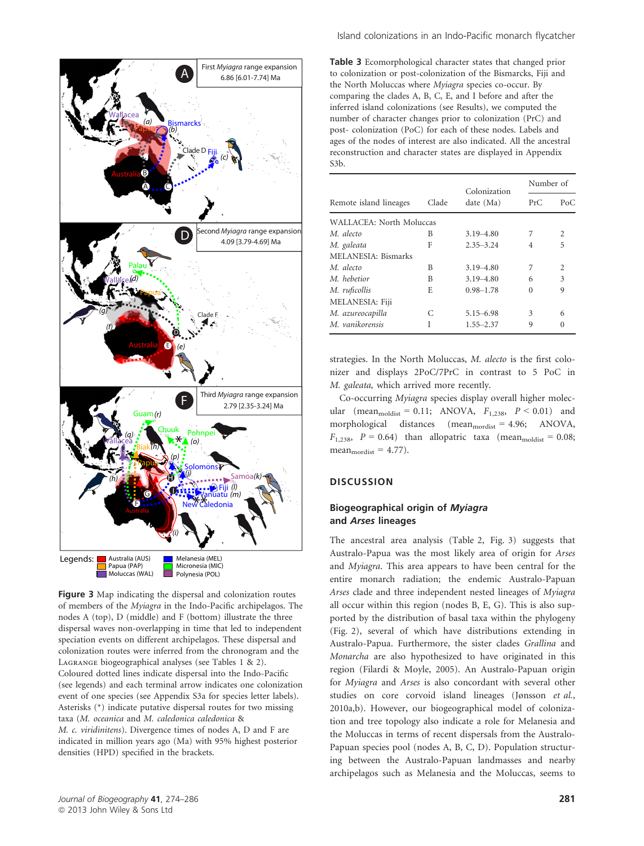

Figure 3 Map indicating the dispersal and colonization routes of members of the Myiagra in the Indo-Pacific archipelagos. The nodes A (top), D (middle) and F (bottom) illustrate the three dispersal waves non-overlapping in time that led to independent speciation events on different archipelagos. These dispersal and colonization routes were inferred from the chronogram and the Lagrange biogeographical analyses (see Tables 1 & 2). Coloured dotted lines indicate dispersal into the Indo-Pacific (see legends) and each terminal arrow indicates one colonization event of one species (see Appendix S3a for species letter labels). Asterisks (\*) indicate putative dispersal routes for two missing taxa (M. oceanica and M. caledonica caledonica & M. c. viridinitens). Divergence times of nodes A, D and F are indicated in million years ago (Ma) with 95% highest posterior densities (HPD) specified in the brackets.

Island colonizations in an Indo-Pacific monarch flycatcher

Table 3 Ecomorphological character states that changed prior to colonization or post-colonization of the Bismarcks, Fiji and the North Moluccas where Myiagra species co-occur. By comparing the clades A, B, C, E, and I before and after the inferred island colonizations (see Results), we computed the number of character changes prior to colonization (PrC) and post- colonization (PoC) for each of these nodes. Labels and ages of the nodes of interest are also indicated. All the ancestral reconstruction and character states are displayed in Appendix S3b.

|                          | Clade | Colonization  | Number of |          |
|--------------------------|-------|---------------|-----------|----------|
| Remote island lineages   |       | date (Ma)     | PrC       | PoC      |
| WALLACEA: North Moluccas |       |               |           |          |
| M. alecto                | B     | $3.19 - 4.80$ | 7         | 2        |
| M. galeata               | F     | $2.35 - 3.24$ | 4         | 5        |
| MELANESIA: Bismarks      |       |               |           |          |
| M. alecto                | B     | $3.19 - 4.80$ | 7         | 2        |
| M. hebetior              | B     | $3.19 - 4.80$ | 6         | 3        |
| M. ruficollis            | E     | $0.98 - 1.78$ | 0         | 9        |
| MELANESIA: Fiji          |       |               |           |          |
| M. azureocapilla         | C     | $5.15 - 6.98$ | 3         | 6        |
| M. vanikorensis          | I     | 1.55–2.37     | 9         | $\Omega$ |

strategies. In the North Moluccas, M. alecto is the first colonizer and displays 2PoC/7PrC in contrast to 5 PoC in M. galeata, which arrived more recently.

Co-occurring Myiagra species display overall higher molecular (mean $_{\text{moddist}} = 0.11$ ; ANOVA,  $F_{1,238}$ ,  $P < 0.01$ ) and morphological distances (mean<sub>mordist</sub> = 4.96; ANOVA,  $F_{1,238}$ ,  $P = 0.64$ ) than allopatric taxa (mean<sub>moldist</sub> = 0.08;  $mean<sub>mordist</sub> = 4.77$ .

# **DISCUSSION**

# Biogeographical origin of Myiagra and Arses lineages

The ancestral area analysis (Table 2, Fig. 3) suggests that Australo-Papua was the most likely area of origin for Arses and Myiagra. This area appears to have been central for the entire monarch radiation; the endemic Australo-Papuan Arses clade and three independent nested lineages of Myiagra all occur within this region (nodes B, E, G). This is also supported by the distribution of basal taxa within the phylogeny (Fig. 2), several of which have distributions extending in Australo-Papua. Furthermore, the sister clades Grallina and Monarcha are also hypothesized to have originated in this region (Filardi & Moyle, 2005). An Australo-Papuan origin for Myiagra and Arses is also concordant with several other studies on core corvoid island lineages (Jønsson et al., 2010a,b). However, our biogeographical model of colonization and tree topology also indicate a role for Melanesia and the Moluccas in terms of recent dispersals from the Australo-Papuan species pool (nodes A, B, C, D). Population structuring between the Australo-Papuan landmasses and nearby archipelagos such as Melanesia and the Moluccas, seems to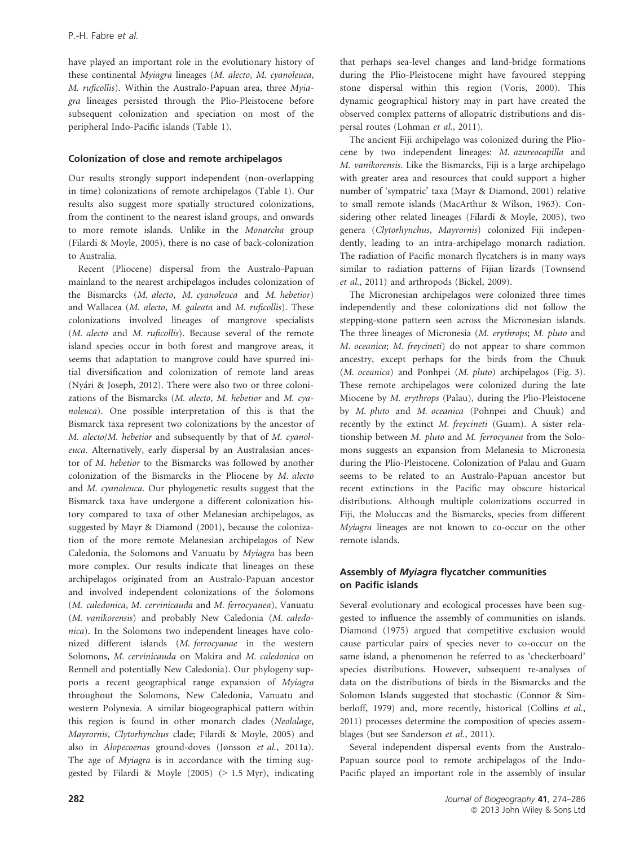have played an important role in the evolutionary history of these continental Myiagra lineages (M. alecto, M. cyanoleuca, M. ruficollis). Within the Australo-Papuan area, three Myiagra lineages persisted through the Plio-Pleistocene before subsequent colonization and speciation on most of the peripheral Indo-Pacific islands (Table 1).

#### Colonization of close and remote archipelagos

Our results strongly support independent (non-overlapping in time) colonizations of remote archipelagos (Table 1). Our results also suggest more spatially structured colonizations, from the continent to the nearest island groups, and onwards to more remote islands. Unlike in the Monarcha group (Filardi & Moyle, 2005), there is no case of back-colonization to Australia.

Recent (Pliocene) dispersal from the Australo-Papuan mainland to the nearest archipelagos includes colonization of the Bismarcks (M. alecto, M. cyanoleuca and M. hebetior) and Wallacea (M. alecto, M. galeata and M. ruficollis). These colonizations involved lineages of mangrove specialists (M. alecto and M. ruficollis). Because several of the remote island species occur in both forest and mangrove areas, it seems that adaptation to mangrove could have spurred initial diversification and colonization of remote land areas (Nyari & Joseph, 2012). There were also two or three colonizations of the Bismarcks (M. alecto, M. hebetior and M. cyanoleuca). One possible interpretation of this is that the Bismarck taxa represent two colonizations by the ancestor of M. alecto/M. hebetior and subsequently by that of M. cyanoleuca. Alternatively, early dispersal by an Australasian ancestor of M. hebetior to the Bismarcks was followed by another colonization of the Bismarcks in the Pliocene by M. alecto and M. cyanoleuca. Our phylogenetic results suggest that the Bismarck taxa have undergone a different colonization history compared to taxa of other Melanesian archipelagos, as suggested by Mayr & Diamond (2001), because the colonization of the more remote Melanesian archipelagos of New Caledonia, the Solomons and Vanuatu by Myiagra has been more complex. Our results indicate that lineages on these archipelagos originated from an Australo-Papuan ancestor and involved independent colonizations of the Solomons (M. caledonica, M. cervinicauda and M. ferrocyanea), Vanuatu (M. vanikorensis) and probably New Caledonia (M. caledonica). In the Solomons two independent lineages have colonized different islands (M. ferrocyanae in the western Solomons, M. cervinicauda on Makira and M. caledonica on Rennell and potentially New Caledonia). Our phylogeny supports a recent geographical range expansion of Myiagra throughout the Solomons, New Caledonia, Vanuatu and western Polynesia. A similar biogeographical pattern within this region is found in other monarch clades (Neolalage, Mayrornis, Clytorhynchus clade; Filardi & Moyle, 2005) and also in Alopecoenas ground-doves (Jønsson et al., 2011a). The age of *Myiagra* is in accordance with the timing suggested by Filardi & Moyle (2005) (> 1.5 Myr), indicating that perhaps sea-level changes and land-bridge formations during the Plio-Pleistocene might have favoured stepping stone dispersal within this region (Voris, 2000). This dynamic geographical history may in part have created the observed complex patterns of allopatric distributions and dispersal routes (Lohman et al., 2011).

The ancient Fiji archipelago was colonized during the Pliocene by two independent lineages: M. azureocapilla and M. vanikorensis. Like the Bismarcks, Fiji is a large archipelago with greater area and resources that could support a higher number of 'sympatric' taxa (Mayr & Diamond, 2001) relative to small remote islands (MacArthur & Wilson, 1963). Considering other related lineages (Filardi & Moyle, 2005), two genera (Clytorhynchus, Mayrornis) colonized Fiji independently, leading to an intra-archipelago monarch radiation. The radiation of Pacific monarch flycatchers is in many ways similar to radiation patterns of Fijian lizards (Townsend et al., 2011) and arthropods (Bickel, 2009).

The Micronesian archipelagos were colonized three times independently and these colonizations did not follow the stepping-stone pattern seen across the Micronesian islands. The three lineages of Micronesia (M. erythrops; M. pluto and M. oceanica; M. freycineti) do not appear to share common ancestry, except perhaps for the birds from the Chuuk (M. oceanica) and Ponhpei (M. pluto) archipelagos (Fig. 3). These remote archipelagos were colonized during the late Miocene by M. erythrops (Palau), during the Plio-Pleistocene by M. pluto and M. oceanica (Pohnpei and Chuuk) and recently by the extinct M. freycineti (Guam). A sister relationship between M. pluto and M. ferrocyanea from the Solomons suggests an expansion from Melanesia to Micronesia during the Plio-Pleistocene. Colonization of Palau and Guam seems to be related to an Australo-Papuan ancestor but recent extinctions in the Pacific may obscure historical distributions. Although multiple colonizations occurred in Fiji, the Moluccas and the Bismarcks, species from different Myiagra lineages are not known to co-occur on the other remote islands.

#### Assembly of Myiagra flycatcher communities on Pacific islands

Several evolutionary and ecological processes have been suggested to influence the assembly of communities on islands. Diamond (1975) argued that competitive exclusion would cause particular pairs of species never to co-occur on the same island, a phenomenon he referred to as 'checkerboard' species distributions. However, subsequent re-analyses of data on the distributions of birds in the Bismarcks and the Solomon Islands suggested that stochastic (Connor & Simberloff, 1979) and, more recently, historical (Collins et al., 2011) processes determine the composition of species assemblages (but see Sanderson et al., 2011).

Several independent dispersal events from the Australo-Papuan source pool to remote archipelagos of the Indo-Pacific played an important role in the assembly of insular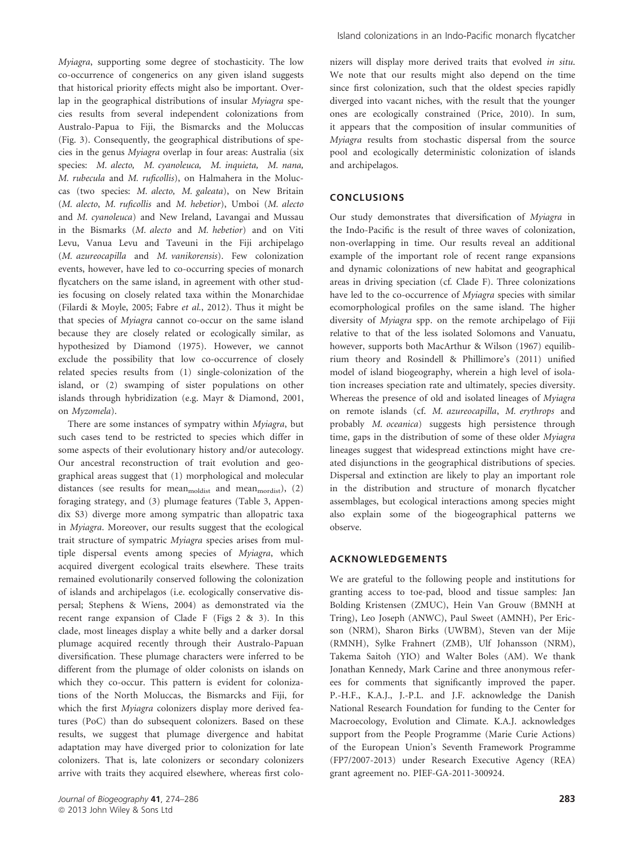Myiagra, supporting some degree of stochasticity. The low co-occurrence of congenerics on any given island suggests that historical priority effects might also be important. Overlap in the geographical distributions of insular Myiagra species results from several independent colonizations from Australo-Papua to Fiji, the Bismarcks and the Moluccas (Fig. 3). Consequently, the geographical distributions of species in the genus Myiagra overlap in four areas: Australia (six species: M. alecto, M. cyanoleuca, M. inquieta, M. nana, M. rubecula and M. ruficollis), on Halmahera in the Moluccas (two species: M. alecto, M. galeata), on New Britain (M. alecto, M. ruficollis and M. hebetior), Umboi (M. alecto and M. cyanoleuca) and New Ireland, Lavangai and Mussau in the Bismarks (M. alecto and M. hebetior) and on Viti Levu, Vanua Levu and Taveuni in the Fiji archipelago (M. azureocapilla and M. vanikorensis). Few colonization events, however, have led to co-occurring species of monarch flycatchers on the same island, in agreement with other studies focusing on closely related taxa within the Monarchidae (Filardi & Moyle, 2005; Fabre et al., 2012). Thus it might be that species of Myiagra cannot co-occur on the same island because they are closely related or ecologically similar, as hypothesized by Diamond (1975). However, we cannot exclude the possibility that low co-occurrence of closely related species results from (1) single-colonization of the island, or (2) swamping of sister populations on other islands through hybridization (e.g. Mayr & Diamond, 2001, on Myzomela).

There are some instances of sympatry within Myiagra, but such cases tend to be restricted to species which differ in some aspects of their evolutionary history and/or autecology. Our ancestral reconstruction of trait evolution and geographical areas suggest that (1) morphological and molecular distances (see results for mean $_{\text{modlist}}$  and mean $_{\text{modist}}$ ), (2) foraging strategy, and (3) plumage features (Table 3, Appendix S3) diverge more among sympatric than allopatric taxa in Myiagra. Moreover, our results suggest that the ecological trait structure of sympatric Myiagra species arises from multiple dispersal events among species of Myiagra, which acquired divergent ecological traits elsewhere. These traits remained evolutionarily conserved following the colonization of islands and archipelagos (i.e. ecologically conservative dispersal; Stephens & Wiens, 2004) as demonstrated via the recent range expansion of Clade F (Figs 2 & 3). In this clade, most lineages display a white belly and a darker dorsal plumage acquired recently through their Australo-Papuan diversification. These plumage characters were inferred to be different from the plumage of older colonists on islands on which they co-occur. This pattern is evident for colonizations of the North Moluccas, the Bismarcks and Fiji, for which the first Myiagra colonizers display more derived features (PoC) than do subsequent colonizers. Based on these results, we suggest that plumage divergence and habitat adaptation may have diverged prior to colonization for late colonizers. That is, late colonizers or secondary colonizers arrive with traits they acquired elsewhere, whereas first colonizers will display more derived traits that evolved in situ. We note that our results might also depend on the time since first colonization, such that the oldest species rapidly diverged into vacant niches, with the result that the younger ones are ecologically constrained (Price, 2010). In sum, it appears that the composition of insular communities of Myiagra results from stochastic dispersal from the source pool and ecologically deterministic colonization of islands and archipelagos.

### CONCLUSIONS

Our study demonstrates that diversification of Myiagra in the Indo-Pacific is the result of three waves of colonization, non-overlapping in time. Our results reveal an additional example of the important role of recent range expansions and dynamic colonizations of new habitat and geographical areas in driving speciation (cf. Clade F). Three colonizations have led to the co-occurrence of Myiagra species with similar ecomorphological profiles on the same island. The higher diversity of Myiagra spp. on the remote archipelago of Fiji relative to that of the less isolated Solomons and Vanuatu, however, supports both MacArthur & Wilson (1967) equilibrium theory and Rosindell & Phillimore's (2011) unified model of island biogeography, wherein a high level of isolation increases speciation rate and ultimately, species diversity. Whereas the presence of old and isolated lineages of Myiagra on remote islands (cf. M. azureocapilla, M. erythrops and probably M. oceanica) suggests high persistence through time, gaps in the distribution of some of these older Myiagra lineages suggest that widespread extinctions might have created disjunctions in the geographical distributions of species. Dispersal and extinction are likely to play an important role in the distribution and structure of monarch flycatcher assemblages, but ecological interactions among species might also explain some of the biogeographical patterns we observe.

## ACKNOWLEDGEMENTS

We are grateful to the following people and institutions for granting access to toe-pad, blood and tissue samples: Jan Bolding Kristensen (ZMUC), Hein Van Grouw (BMNH at Tring), Leo Joseph (ANWC), Paul Sweet (AMNH), Per Ericson (NRM), Sharon Birks (UWBM), Steven van der Mije (RMNH), Sylke Frahnert (ZMB), Ulf Johansson (NRM), Takema Saitoh (YIO) and Walter Boles (AM). We thank Jonathan Kennedy, Mark Carine and three anonymous referees for comments that significantly improved the paper. P.-H.F., K.A.J., J.-P.L. and J.F. acknowledge the Danish National Research Foundation for funding to the Center for Macroecology, Evolution and Climate. K.A.J. acknowledges support from the People Programme (Marie Curie Actions) of the European Union's Seventh Framework Programme (FP7/2007-2013) under Research Executive Agency (REA) grant agreement no. PIEF-GA-2011-300924.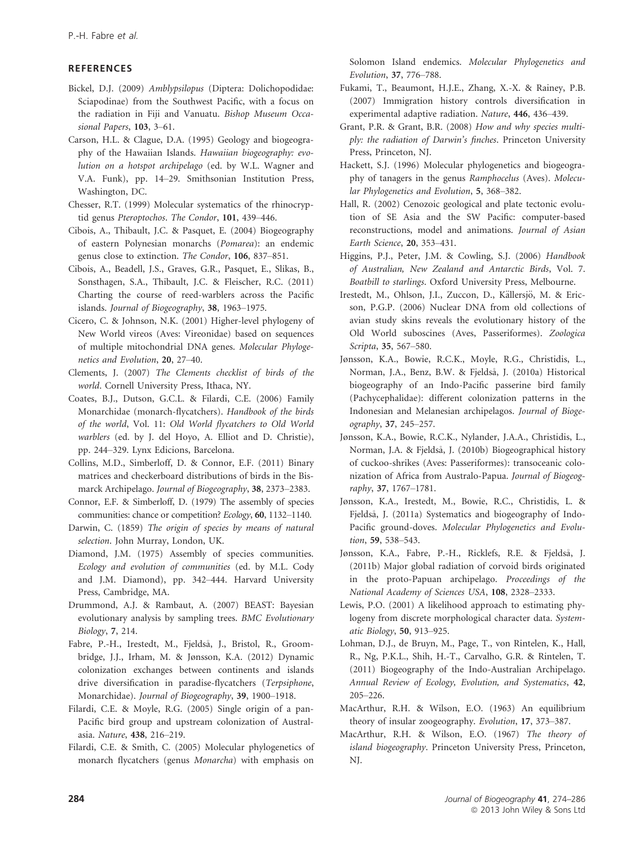## REFERENCES

- Bickel, D.J. (2009) Amblypsilopus (Diptera: Dolichopodidae: Sciapodinae) from the Southwest Pacific, with a focus on the radiation in Fiji and Vanuatu. Bishop Museum Occasional Papers, 103, 3–61.
- Carson, H.L. & Clague, D.A. (1995) Geology and biogeography of the Hawaiian Islands. Hawaiian biogeography: evolution on a hotspot archipelago (ed. by W.L. Wagner and V.A. Funk), pp. 14–29. Smithsonian Institution Press, Washington, DC.
- Chesser, R.T. (1999) Molecular systematics of the rhinocryptid genus Pteroptochos. The Condor, 101, 439–446.
- Cibois, A., Thibault, J.C. & Pasquet, E. (2004) Biogeography of eastern Polynesian monarchs (Pomarea): an endemic genus close to extinction. The Condor, 106, 837–851.
- Cibois, A., Beadell, J.S., Graves, G.R., Pasquet, E., Slikas, B., Sonsthagen, S.A., Thibault, J.C. & Fleischer, R.C. (2011) Charting the course of reed-warblers across the Pacific islands. Journal of Biogeography, 38, 1963–1975.
- Cicero, C. & Johnson, N.K. (2001) Higher-level phylogeny of New World vireos (Aves: Vireonidae) based on sequences of multiple mitochondrial DNA genes. Molecular Phylogenetics and Evolution, 20, 27–40.
- Clements, J. (2007) The Clements checklist of birds of the world. Cornell University Press, Ithaca, NY.
- Coates, B.J., Dutson, G.C.L. & Filardi, C.E. (2006) Family Monarchidae (monarch-flycatchers). Handbook of the birds of the world, Vol. 11: Old World flycatchers to Old World warblers (ed. by J. del Hoyo, A. Elliot and D. Christie), pp. 244–329. Lynx Edicions, Barcelona.
- Collins, M.D., Simberloff, D. & Connor, E.F. (2011) Binary matrices and checkerboard distributions of birds in the Bismarck Archipelago. Journal of Biogeography, 38, 2373–2383.
- Connor, E.F. & Simberloff, D. (1979) The assembly of species communities: chance or competition? Ecology, 60, 1132–1140.
- Darwin, C. (1859) The origin of species by means of natural selection. John Murray, London, UK.
- Diamond, J.M. (1975) Assembly of species communities. Ecology and evolution of communities (ed. by M.L. Cody and J.M. Diamond), pp. 342–444. Harvard University Press, Cambridge, MA.
- Drummond, A.J. & Rambaut, A. (2007) BEAST: Bayesian evolutionary analysis by sampling trees. BMC Evolutionary Biology, 7, 214.
- Fabre, P.-H., Irestedt, M., Fjeldså, J., Bristol, R., Groombridge, J.J., Irham, M. & Jønsson, K.A. (2012) Dynamic colonization exchanges between continents and islands drive diversification in paradise-flycatchers (Terpsiphone, Monarchidae). Journal of Biogeography, 39, 1900–1918.
- Filardi, C.E. & Moyle, R.G. (2005) Single origin of a pan-Pacific bird group and upstream colonization of Australasia. Nature, 438, 216–219.
- Filardi, C.E. & Smith, C. (2005) Molecular phylogenetics of monarch flycatchers (genus Monarcha) with emphasis on

Solomon Island endemics. Molecular Phylogenetics and Evolution, 37, 776–788.

- Fukami, T., Beaumont, H.J.E., Zhang, X.-X. & Rainey, P.B. (2007) Immigration history controls diversification in experimental adaptive radiation. Nature, 446, 436–439.
- Grant, P.R. & Grant, B.R. (2008) How and why species multiply: the radiation of Darwin's finches. Princeton University Press, Princeton, NJ.
- Hackett, S.J. (1996) Molecular phylogenetics and biogeography of tanagers in the genus Ramphocelus (Aves). Molecular Phylogenetics and Evolution, 5, 368–382.
- Hall, R. (2002) Cenozoic geological and plate tectonic evolution of SE Asia and the SW Pacific: computer-based reconstructions, model and animations. Journal of Asian Earth Science, 20, 353–431.
- Higgins, P.J., Peter, J.M. & Cowling, S.J. (2006) Handbook of Australian, New Zealand and Antarctic Birds, Vol. 7. Boatbill to starlings. Oxford University Press, Melbourne.
- Irestedt, M., Ohlson, J.I., Zuccon, D., Källersjö, M. & Ericson, P.G.P. (2006) Nuclear DNA from old collections of avian study skins reveals the evolutionary history of the Old World suboscines (Aves, Passeriformes). Zoologica Scripta, 35, 567–580.
- Jønsson, K.A., Bowie, R.C.K., Moyle, R.G., Christidis, L., Norman, J.A., Benz, B.W. & Fieldså, J. (2010a) Historical biogeography of an Indo-Pacific passerine bird family (Pachycephalidae): different colonization patterns in the Indonesian and Melanesian archipelagos. Journal of Biogeography, 37, 245–257.
- Jønsson, K.A., Bowie, R.C.K., Nylander, J.A.A., Christidis, L., Norman, J.A. & Fjeldsa, J. (2010b) Biogeographical history of cuckoo-shrikes (Aves: Passeriformes): transoceanic colonization of Africa from Australo-Papua. Journal of Biogeography, 37, 1767–1781.
- Jønsson, K.A., Irestedt, M., Bowie, R.C., Christidis, L. & Fjeldsa, J. (2011a) Systematics and biogeography of Indo-Pacific ground-doves. Molecular Phylogenetics and Evolution, 59, 538–543.
- Jønsson, K.A., Fabre, P.-H., Ricklefs, R.E. & Fjeldsa, J. (2011b) Major global radiation of corvoid birds originated in the proto-Papuan archipelago. Proceedings of the National Academy of Sciences USA, 108, 2328–2333.
- Lewis, P.O. (2001) A likelihood approach to estimating phylogeny from discrete morphological character data. Systematic Biology, 50, 913–925.
- Lohman, D.J., de Bruyn, M., Page, T., von Rintelen, K., Hall, R., Ng, P.K.L., Shih, H.-T., Carvalho, G.R. & Rintelen, T. (2011) Biogeography of the Indo-Australian Archipelago. Annual Review of Ecology, Evolution, and Systematics, 42, 205–226.
- MacArthur, R.H. & Wilson, E.O. (1963) An equilibrium theory of insular zoogeography. Evolution, 17, 373–387.
- MacArthur, R.H. & Wilson, E.O. (1967) The theory of island biogeography. Princeton University Press, Princeton, NJ.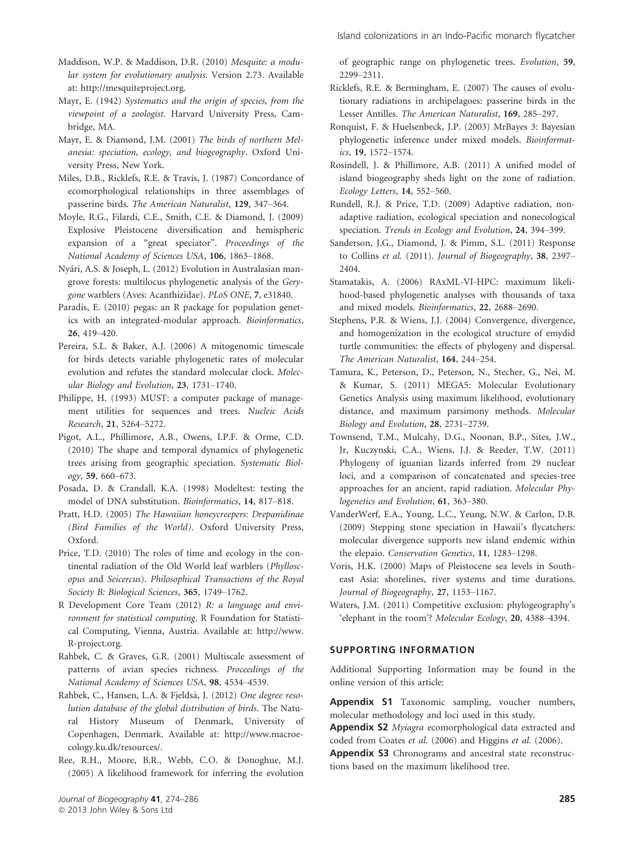Maddison, W.P. & Maddison, D.R. (2010) Mesquite: a modular system for evolutionary analysis. Version 2.73. Available at: http://mesquiteproject.org.

Mayr, E. (1942) Systematics and the origin of species, from the viewpoint of a zoologist. Harvard University Press, Cambridge, MA.

Mayr, E. & Diamond, J.M. (2001) The birds of northern Melanesia: speciation, ecology, and biogeography. Oxford University Press, New York.

Miles, D.B., Ricklefs, R.E. & Travis, J. (1987) Concordance of ecomorphological relationships in three assemblages of passerine birds. The American Naturalist, 129, 347–364.

Moyle, R.G., Filardi, C.E., Smith, C.E. & Diamond, J. (2009) Explosive Pleistocene diversification and hemispheric expansion of a "great speciator". Proceedings of the National Academy of Sciences USA, 106, 1863–1868.

Nyari, A.S. & Joseph, L. (2012) Evolution in Australasian mangrove forests: multilocus phylogenetic analysis of the Gerygone warblers (Aves: Acanthizidae). PLoS ONE, 7, e31840.

Paradis, E. (2010) pegas: an R package for population genetics with an integrated-modular approach. Bioinformatics, 26, 419–420.

Pereira, S.L. & Baker, A.J. (2006) A mitogenomic timescale for birds detects variable phylogenetic rates of molecular evolution and refutes the standard molecular clock. Molecular Biology and Evolution, 23, 1731–1740.

Philippe, H. (1993) MUST: a computer package of management utilities for sequences and trees. Nucleic Acids Research, 21, 5264–5272.

Pigot, A.L., Phillimore, A.B., Owens, I.P.F. & Orme, C.D. (2010) The shape and temporal dynamics of phylogenetic trees arising from geographic speciation. Systematic Biology, 59, 660–673.

Posada, D. & Crandall, K.A. (1998) Modeltest: testing the model of DNA substitution. Bioinformatics, 14, 817–818.

Pratt, H.D. (2005) The Hawaiian honeycreepers: Drepanidinae (Bird Families of the World). Oxford University Press, Oxford.

Price, T.D. (2010) The roles of time and ecology in the continental radiation of the Old World leaf warblers (Phylloscopus and Seicercus). Philosophical Transactions of the Royal Society B: Biological Sciences, 365, 1749–1762.

R Development Core Team (2012) R: a language and environment for statistical computing. R Foundation for Statistical Computing, Vienna, Austria. Available at: http://www. R-project.org.

Rahbek, C. & Graves, G.R. (2001) Multiscale assessment of patterns of avian species richness. Proceedings of the National Academy of Sciences USA, 98, 4534–4539.

Rahbek, C., Hansen, L.A. & Fjeldså, J. (2012) One degree resolution database of the global distribution of birds. The Natural History Museum of Denmark, University of Copenhagen, Denmark. Available at: http://www.macroecology.ku.dk/resources/.

Ree, R.H., Moore, B.R., Webb, C.O. & Donoghue, M.J. (2005) A likelihood framework for inferring the evolution of geographic range on phylogenetic trees. Evolution, 59, 2299–2311.

Ricklefs, R.E. & Bermingham, E. (2007) The causes of evolutionary radiations in archipelagoes: passerine birds in the Lesser Antilles. The American Naturalist, 169, 285–297.

Ronquist, F. & Huelsenbeck, J.P. (2003) MrBayes 3: Bayesian phylogenetic inference under mixed models. Bioinformatics, 19, 1572–1574.

Rosindell, J. & Phillimore, A.B. (2011) A unified model of island biogeography sheds light on the zone of radiation. Ecology Letters, 14, 552–560.

Rundell, R.J. & Price, T.D. (2009) Adaptive radiation, nonadaptive radiation, ecological speciation and nonecological speciation. Trends in Ecology and Evolution, 24, 394–399.

Sanderson, J.G., Diamond, J. & Pimm, S.L. (2011) Response to Collins et al. (2011). Journal of Biogeography, 38, 2397– 2404

Stamatakis, A. (2006) RAxML-VI-HPC: maximum likelihood-based phylogenetic analyses with thousands of taxa and mixed models. Bioinformatics, 22, 2688–2690.

Stephens, P.R. & Wiens, J.J. (2004) Convergence, divergence, and homogenization in the ecological structure of emydid turtle communities: the effects of phylogeny and dispersal. The American Naturalist, 164, 244–254.

Tamura, K., Peterson, D., Peterson, N., Stecher, G., Nei, M. & Kumar, S. (2011) MEGA5: Molecular Evolutionary Genetics Analysis using maximum likelihood, evolutionary distance, and maximum parsimony methods. Molecular Biology and Evolution, 28, 2731–2739.

Townsend, T.M., Mulcahy, D.G., Noonan, B.P., Sites, J.W., Jr, Kuczynski, C.A., Wiens, J.J. & Reeder, T.W. (2011) Phylogeny of iguanian lizards inferred from 29 nuclear loci, and a comparison of concatenated and species-tree approaches for an ancient, rapid radiation. Molecular Phylogenetics and Evolution, 61, 363–380.

VanderWerf, E.A., Young, L.C., Yeung, N.W. & Carlon, D.B. (2009) Stepping stone speciation in Hawaii's flycatchers: molecular divergence supports new island endemic within the elepaio. Conservation Genetics, 11, 1283–1298.

Voris, H.K. (2000) Maps of Pleistocene sea levels in Southeast Asia: shorelines, river systems and time durations. Journal of Biogeography, 27, 1153–1167.

Waters, J.M. (2011) Competitive exclusion: phylogeography's 'elephant in the room'? Molecular Ecology, 20, 4388–4394.

## SUPPORTING INFORMATION

Additional Supporting Information may be found in the online version of this article:

Appendix S1 Taxonomic sampling, voucher numbers, molecular methodology and loci used in this study.

Appendix S2 Myiagra ecomorphological data extracted and coded from Coates et al. (2006) and Higgins et al. (2006).

Appendix S3 Chronograms and ancestral state reconstructions based on the maximum likelihood tree.